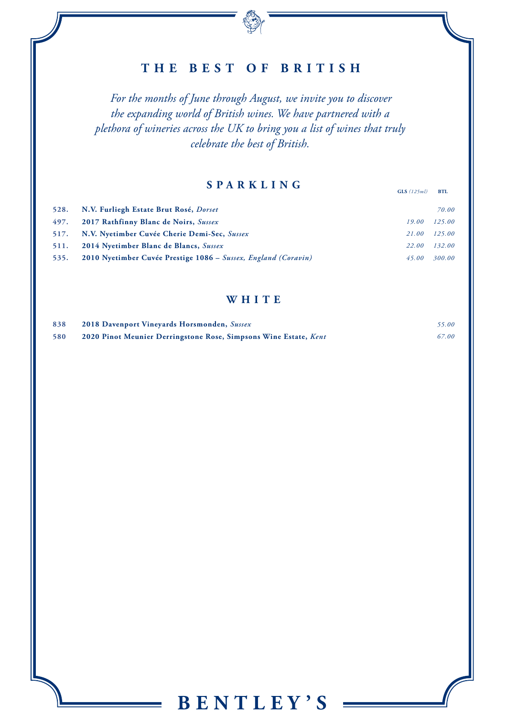## HE BEST OF BRITISH **THE BEST OF BRITISH**

*For the months of June through August, we invite you to discover the expanding world of British wines. We have partnered with a plethora of wineries across the UK to bring you a list of wines that truly celebrate the best of British.*

#### **SPARKLING**

**GLS** *(125ml)* **BTL**

|      | 528. N.V. Furliegh Estate Brut Rosé, <i>Dorset</i>             |       | 70.00  |
|------|----------------------------------------------------------------|-------|--------|
|      | 497. 2017 Rathfinny Blanc de Noirs, Sussex                     | 19.00 | 125.00 |
|      | 517. N.V. Nyetimber Cuvée Cherie Demi-Sec, Sussex              | 21.00 | 125.00 |
|      | 511. 2014 Nyetimber Blanc de Blancs, Sussex                    | 22.00 | 132.00 |
| 535. | 2010 Nyetimber Cuvée Prestige 1086 – Sussex, England (Coravin) | 45.00 | 300.00 |

#### **WHITE**

| 838 | <b>2018 Davenport Vineyards Horsmonden, Sussex</b>               | 55.00 |
|-----|------------------------------------------------------------------|-------|
| 580 | 2020 Pinot Meunier Derringstone Rose, Simpsons Wine Estate, Kent | 67.00 |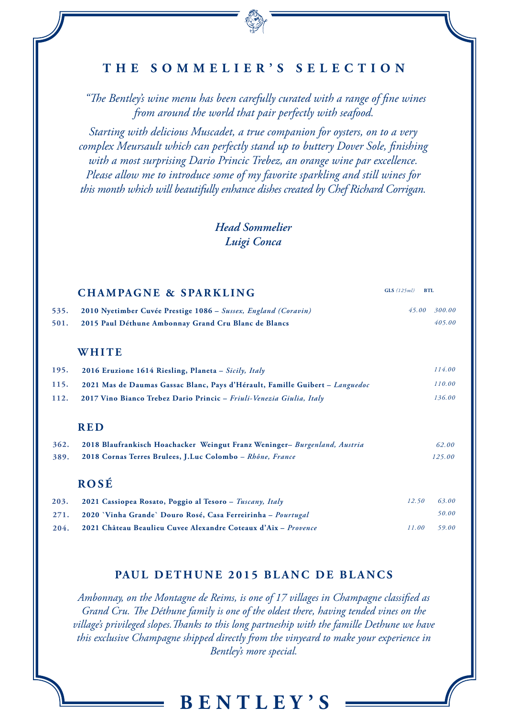## SOMMELIER'S SELECT **THE SOMMELIER'S SELECTION**

 *"The Bentley's wine menu has been carefully curated with a range of fine wines from around the world that pair perfectly with seafood.*

*Starting with delicious Muscadet, a true companion for oysters, on to a very complex Meursault which can perfectly stand up to buttery Dover Sole, finishing with a most surprising Dario Princic Trebez, an orange wine par excellence. Please allow me to introduce some of my favorite sparkling and still wines for this month which will beautifully enhance dishes created by Chef Richard Corrigan.*

> *Head Sommelier Luigi Conca*

|             | <b>CHAMPAGNE &amp; SPARKLING</b>                                             | $GLS$ (125ml)<br><b>BTL</b> |        |  |
|-------------|------------------------------------------------------------------------------|-----------------------------|--------|--|
| 535.        | 2010 Nyetimber Cuvée Prestige 1086 - Sussex, England (Coravin)               | 45.00                       | 300.00 |  |
| 501.        | 2015 Paul Déthune Ambonnay Grand Cru Blanc de Blancs                         |                             | 405.00 |  |
|             | WHITE                                                                        |                             |        |  |
| <b>195.</b> | 2016 Eruzione 1614 Riesling, Planeta - Sicily, Italy                         |                             | 114.00 |  |
| 115.        | 2021 Mas de Daumas Gassac Blanc, Pays d'Hérault, Famille Guibert - Languedoc |                             | 110.00 |  |
| 112.        | 2017 Vino Bianco Trebez Dario Princic - Friuli-Venezia Giulia, Italy         |                             | 136.00 |  |
|             | <b>RED</b>                                                                   |                             |        |  |
| 362.        | 2018 Blaufrankisch Hoachacker Weingut Franz Weninger- Burgenland, Austria    |                             | 62.00  |  |
| 389.        | 2018 Cornas Terres Brulees, J.Luc Colombo - Rhône, France                    |                             | 125.00 |  |
|             | ROSÉ                                                                         |                             |        |  |
| 203.        | 2021 Cassiopea Rosato, Poggio al Tesoro - Tuscany, Italy                     | 12.50                       | 63.00  |  |
| 271.        | 2020 'Vinha Grande' Douro Rosé, Casa Ferreirinha - Pourtugal                 |                             | 50.00  |  |
| 204.        | 2021 Château Beaulieu Cuvee Alexandre Coteaux d'Aix – Provence               | 11.00                       | 59.00  |  |

#### **PAUL DETHUNE 2015 BLANC DE BLANCS**

*Ambonnay, on the Montagne de Reims, is one of 17 villages in Champagne classified as Grand Cru. The Déthune family is one of the oldest there, having tended vines on the village's privileged slopes.Thanks to this long partneship with the famille Dethune we have this exclusive Champagne shipped directly from the vinyeard to make your experience in Bentley's more special.*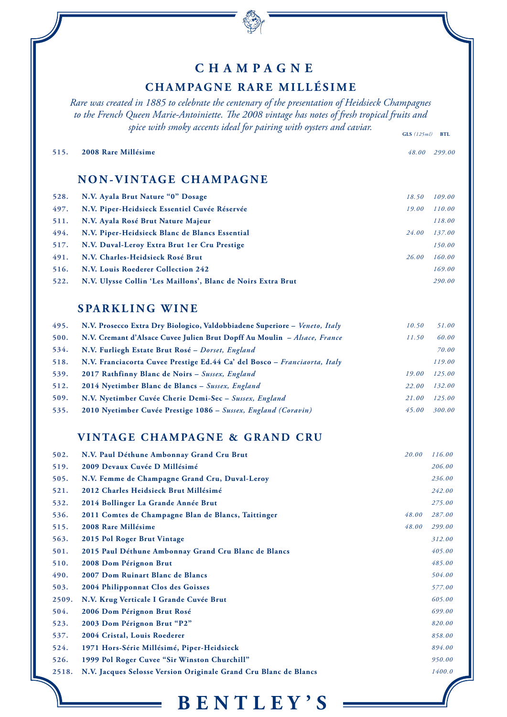# CHAMPAGNE<br>
CHAMPAGNE RARE MILLÉSIME

*Rare was created in 1885 to celebrate the centenary of the presentation of Heidsieck Champagnes to the French Queen Marie-Antoiniette. The 2008 vintage has notes of fresh tropical fruits and spice with smoky accents ideal for pairing with oysters and caviar.* **GLS** (125ml) **BTL** 

**515. 2008 Rare Millésime** *48.00 299.00*

#### **NON-VINTAGE CHAMPAGNE**

| 528. | N.V. Ayala Brut Nature "0" Dosage                            | 18.50 | 109.00 |
|------|--------------------------------------------------------------|-------|--------|
| 497. | N.V. Piper-Heidsieck Essentiel Cuvée Réservée                | 19.00 | 110.00 |
| 511. | N.V. Ayala Rosé Brut Nature Majeur                           |       | 118.00 |
| 494. | N.V. Piper-Heidsieck Blanc de Blancs Essential               | 24.00 | 137.00 |
| 517. | N.V. Duval-Leroy Extra Brut 1 er Cru Prestige                |       | 150.00 |
| 491. | N.V. Charles-Heidsieck Rosé Brut                             | 26.00 | 160.00 |
| 516. | N.V. Louis Roederer Collection 242                           |       | 169.00 |
| 522. | N.V. Ulysse Collin 'Les Maillons', Blanc de Noirs Extra Brut |       | 290.00 |

#### **SPARKLING WINE**

| 495. | N.V. Prosecco Extra Dry Biologico, Valdobbiadene Superiore - Veneto, Italy | 10.50 | 51.00  |
|------|----------------------------------------------------------------------------|-------|--------|
| 500. | N.V. Cremant d'Alsace Cuvee Julien Brut Dopff Au Moulin - Alsace, France   | 11.50 | 60.00  |
| 534. | N.V. Furliegh Estate Brut Rosé - Dorset, England                           |       | 70.00  |
| 518. | N.V. Franciacorta Cuvee Prestige Ed.44 Ca' del Bosco - Franciaorta, Italy  |       | 119.00 |
| 539. | 2017 Rathfinny Blanc de Noirs - Sussex, England                            | 19.00 | 125.00 |
| 512. | 2014 Nyetimber Blanc de Blancs - Sussex, England                           | 22.00 | 132.00 |
| 509. | N.V. Nyetimber Cuvée Cherie Demi-Sec – Sussex, England                     | 21.00 | 125.00 |
| 535. | 2010 Nyetimber Cuvée Prestige 1086 - Sussex, England (Coravin)             | 45.00 | 300.00 |

#### **VINTAGE CHAMPAGNE & GRAND CRU**

| 502.  | N.V. Paul Déthune Ambonnay Grand Cru Brut                        | 20.00 | 116.00 |
|-------|------------------------------------------------------------------|-------|--------|
| 519.  | 2009 Devaux Cuvée D Millésimé                                    |       | 206.00 |
| 505.  | N.V. Femme de Champagne Grand Cru, Duval-Leroy                   |       | 236.00 |
| 521.  | 2012 Charles Heidsieck Brut Millésimé                            |       | 242.00 |
| 532.  | 2014 Bollinger La Grande Année Brut                              |       | 275.00 |
| 536.  | 2011 Comtes de Champagne Blan de Blancs, Taittinger              | 48.00 | 287.00 |
| 515.  | 2008 Rare Millésime                                              | 48.00 | 299.00 |
| 563.  | 2015 Pol Roger Brut Vintage                                      |       | 312.00 |
| 501.  | 2015 Paul Déthune Ambonnay Grand Cru Blanc de Blancs             |       | 405.00 |
| 510.  | 2008 Dom Pérignon Brut                                           |       | 485.00 |
| 490.  | 2007 Dom Ruinart Blanc de Blancs                                 |       | 504.00 |
| 503.  | 2004 Philipponnat Clos des Goisses                               |       | 577.00 |
| 2509. | N.V. Krug Verticale I Grande Cuvée Brut                          |       | 605.00 |
| 504.  | 2006 Dom Pérignon Brut Rosé                                      |       | 699.00 |
| 523.  | 2003 Dom Pérignon Brut "P2"                                      |       | 820.00 |
| 537.  | 2004 Cristal, Louis Roederer                                     |       | 858.00 |
| 524.  | 1971 Hors-Série Millésimé, Piper-Heidsieck                       |       | 894.00 |
| 526.  | 1999 Pol Roger Cuvee "Sir Winston Churchill"                     |       | 950.00 |
| 2518. | N.V. Jacques Selosse Version Originale Grand Cru Blanc de Blancs |       | 1400.0 |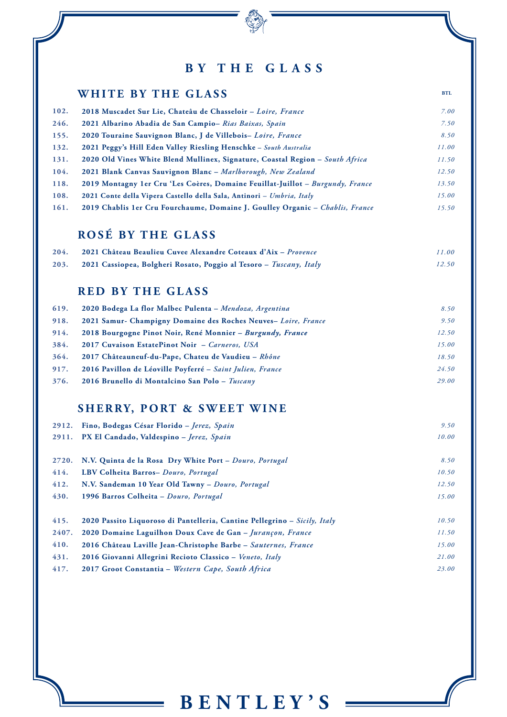#### BY THE GLASS

**BTL**

#### **WHITE BY THE GLASS**

| 102. | 2018 Muscadet Sur Lie, Chateâu de Chasseloir - Loire, France                   | 7.00  |
|------|--------------------------------------------------------------------------------|-------|
| 246. | 2021 Albarino Abadia de San Campio- Rias Baixas, Spain                         | 7.50  |
| 155. | 2020 Touraine Sauvignon Blanc, J de Villebois- Loire, France                   | 8.50  |
| 132. | 2021 Peggy's Hill Eden Valley Riesling Henschke - South Australia              | 11.00 |
| 131. | 2020 Old Vines White Blend Mullinex, Signature, Coastal Region - South Africa  | 11.50 |
| 104. | 2021 Blank Canvas Sauvignon Blanc - Marlborough, New Zealand                   | 12.50 |
| 118. | 2019 Montagny 1er Cru 'Les Coères, Domaine Feuillat-Juillot – Burgundy, France | 13.50 |
| 108. | 2021 Conte della Vipera Castello della Sala, Antinori – Umbria, Italy          | 15.00 |
| 161. | 2019 Chablis 1er Cru Fourchaume, Domaine J. Goulley Organic – Chablis, France  | 15.50 |

#### **ROSÉ BY THE GLASS**

| 204. | 2021 Château Beaulieu Cuvee Alexandre Coteaux d'Aix – Provence     | 11.00 |
|------|--------------------------------------------------------------------|-------|
| 203. | 2021 Cassiopea, Bolgheri Rosato, Poggio al Tesoro – Tuscany, Italy | 12.50 |

#### **RED BY THE GLASS**

| 619.        | 2020 Bodega La flor Malbec Pulenta - Mendoza, Argentina        | 8.50  |
|-------------|----------------------------------------------------------------|-------|
| 918.        | 2021 Samur- Champigny Domaine des Roches Neuves- Loire, France | 9.50  |
| 914.        | 2018 Bourgogne Pinot Noir, René Monnier - Burgundy, France     | 12.50 |
| 384.        | 2017 Cuvaison EstatePinot Noir - Carneros, USA                 | 15.00 |
| 364.        | 2017 Châteauneuf-du-Pape, Chateu de Vaudieu - Rhône            | 18.50 |
| 917.        | 2016 Pavillon de Léoville Poyferré – Saint Julien, France      | 24.50 |
| <b>376.</b> | 2016 Brunello di Montalcino San Polo - Tuscany                 | 29.00 |

#### **SHERRY, PORT & SWEET WINE**

|       | 2912. Fino, Bodegas César Florido - Jerez, Spain                          | 9.50  |
|-------|---------------------------------------------------------------------------|-------|
|       | 2911. PX El Candado, Valdespino - Jerez, Spain                            | 10.00 |
|       |                                                                           |       |
| 2720. | N.V. Quinta de la Rosa Dry White Port - Douro, Portugal                   | 8.50  |
| 414.  | LBV Colheita Barros- Douro, Portugal                                      | 10.50 |
| 412.  | N.V. Sandeman 10 Year Old Tawny - Douro, Portugal                         | 12.50 |
| 430.  | 1996 Barros Colheita - Douro, Portugal                                    | 15.00 |
| 415.  | 2020 Passito Liquoroso di Pantelleria, Cantine Pellegrino - Sicily, Italy | 10.50 |
| 2407. | 2020 Domaine Laguilhon Doux Cave de Gan - Jurançon, France                | 11.50 |
| 410.  | 2016 Château Laville Jean-Christophe Barbe - Sauternes, France            | 15.00 |
| 431.  | 2016 Giovanni Allegrini Recioto Classico - Veneto, Italy                  | 21.00 |
| 417.  | 2017 Groot Constantia - Western Cape, South Africa                        | 23.00 |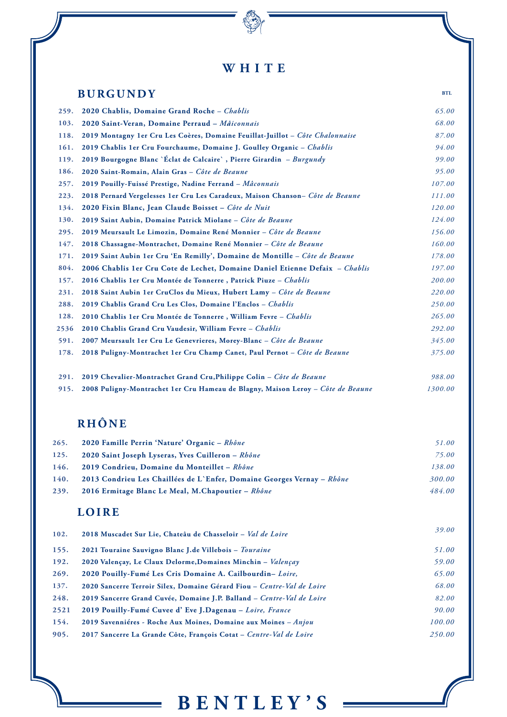#### WHITE

|      | <b>BURGUNDY</b>                                                                 | <b>BTL</b> |
|------|---------------------------------------------------------------------------------|------------|
| 259. | 2020 Chablis, Domaine Grand Roche - Chablis                                     | 65.00      |
| 103. | 2020 Saint-Veran, Domaine Perraud - Mâiconnais                                  | 68.00      |
| 118. | 2019 Montagny 1er Cru Les Coères, Domaine Feuillat-Juillot - Côte Chalonnaise   | 87.00      |
| 161. | 2019 Chablis 1er Cru Fourchaume, Domaine J. Goulley Organic - Chablis           | 94.00      |
| 119. | 2019 Bourgogne Blanc 'Éclat de Calcaire', Pierre Girardin - Burgundy            | 99.00      |
| 186. | 2020 Saint-Romain, Alain Gras - Côte de Beaune                                  | 95.00      |
| 257. | 2019 Pouilly-Fuissé Prestige, Nadine Ferrand - Mâconnais                        | 107.00     |
| 223. | 2018 Pernard Vergelesses 1er Cru Les Caradeux, Maison Chanson- Côte de Beaune   | 111.00     |
| 134. | 2020 Fixin Blanc, Jean Claude Boisset - Côte de Nuit                            | 120.00     |
| 130. | 2019 Saint Aubin, Domaine Patrick Miolane - Côte de Beaune                      | 124.00     |
| 295. | 2019 Meursault Le Limozin, Domaine René Monnier - Côte de Beaune                | 156.00     |
| 147. | 2018 Chassagne-Montrachet, Domaine René Monnier - Côte de Beaune                | 160.00     |
| 171. | 2019 Saint Aubin 1er Cru 'En Remilly', Domaine de Montille - Côte de Beaune     | 178.00     |
| 804. | 2006 Chablis 1er Cru Cote de Lechet, Domaine Daniel Etienne Defaix - Chablis    | 197.00     |
| 157. | 2016 Chablis 1er Cru Montée de Tonnerre, Patrick Piuze - Chablis                | 200.00     |
| 231. | 2018 Saint Aubin 1er CruClos du Mieux, Hubert Lamy - Côte de Beaune             | 220.00     |
| 288. | 2019 Chablis Grand Cru Les Clos, Domaine l'Enclos - Chablis                     | 250.00     |
| 128. | 2010 Chablis 1er Cru Montée de Tonnerre, William Fevre - Chablis                | 265.00     |
| 2536 | 2010 Chablis Grand Cru Vaudesir, William Fevre - Chablis                        | 292.00     |
| 591. | 2007 Meursault 1er Cru Le Genevrieres, Morey-Blanc - Côte de Beaune             | 345.00     |
| 178. | 2018 Puligny-Montrachet 1er Cru Champ Canet, Paul Pernot - Côte de Beaune       | 375.00     |
| 291. | 2019 Chevalier-Montrachet Grand Cru, Philippe Colin – Côte de Beaune            | 988.00     |
| 915. | 2008 Puligny-Montrachet 1er Cru Hameau de Blagny, Maison Leroy - Côte de Beaune | 1300.00    |

#### **RHÔNE**

| 265.        | 2020 Famille Perrin 'Nature' Organic – Rhône                           | 51.00  |
|-------------|------------------------------------------------------------------------|--------|
| 125.        | 2020 Saint Joseph Lyseras, Yves Cuilleron - Rhône                      | 75.00  |
| 146.        | 2019 Condrieu, Domaine du Monteillet – Rhône                           | 138.00 |
| <b>140.</b> | 2013 Condrieu Les Chaillées de L'Enfer, Domaine Georges Vernay – Rhône | 300.00 |
| 239.        | 2016 Ermitage Blanc Le Meal, M.Chapoutier – Rhône                      | 484.00 |

#### **LOIRE**

| 102. | 2018 Muscadet Sur Lie, Chateau de Chasseloir - Val de Loire            | 39.00  |
|------|------------------------------------------------------------------------|--------|
| 155. | 2021 Touraine Sauvigno Blanc J.de Villebois - Touraine                 | 51.00  |
| 192. | 2020 Valençay, Le Claux Delorme, Domaines Minchin - Valençay           | 59.00  |
| 269. | 2020 Pouilly-Fumé Les Cris Domaine A. Cailbourdin-Loire,               | 65.00  |
| 137. | 2020 Sancerre Terroir Silex, Domaine Gérard Fiou - Centre-Val de Loire | 68.00  |
| 248. | 2019 Sancerre Grand Cuvée, Domaine J.P. Balland - Centre-Val de Loire  | 82.00  |
| 2521 | 2019 Pouilly-Fumé Cuvee d' Eve J. Dagenau - Loire, France              | 90.00  |
| 154. | 2019 Savenniéres - Roche Aux Moines, Domaine aux Moines - Anjou        | 100.00 |
| 905. | 2017 Sancerre La Grande Côte, François Cotat – Centre-Val de Loire     | 250.00 |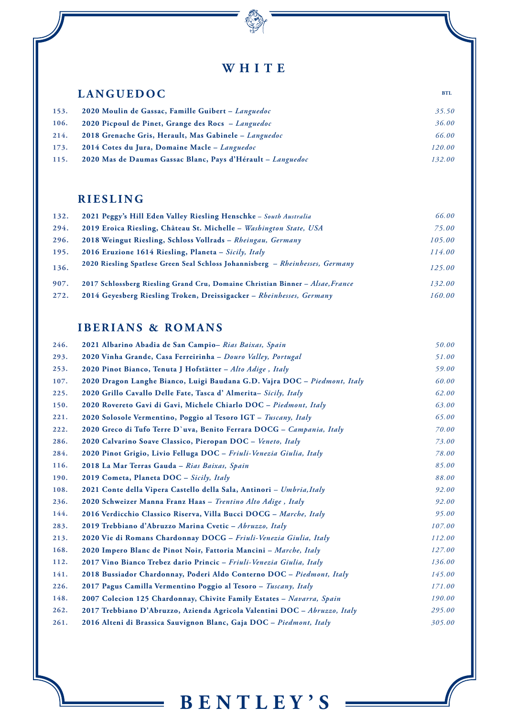#### WHITE

|      | <b>LANGUEDOC</b>                                            | <b>BTL</b> |
|------|-------------------------------------------------------------|------------|
| 153. | 2020 Moulin de Gassac, Famille Guibert - Languedoc          | 35.50      |
| 106. | 2020 Picpoul de Pinet, Grange des Rocs - Languedoc          | 36.00      |
| 214. | 2018 Grenache Gris, Herault, Mas Gabinele - Languedoc       | 66.00      |
| 173. | 2014 Cotes du Jura, Domaine Macle - Languedoc               | 120.00     |
| 115. | 2020 Mas de Daumas Gassac Blanc, Pays d'Hérault – Languedoc | 132.00     |
|      |                                                             |            |

#### **RIESLING**

| 132. | 2021 Peggy's Hill Eden Valley Riesling Henschke - South Australia             | 66.00  |
|------|-------------------------------------------------------------------------------|--------|
| 294. | 2019 Eroica Riesling, Château St. Michelle – Washington State, USA            | 75.00  |
| 296. | 2018 Weingut Riesling, Schloss Vollrads - Rheingau, Germany                   | 105.00 |
| 195. | 2016 Eruzione 1614 Riesling, Planeta – Sicily, Italy                          | 114.00 |
| 136. | 2020 Riesling Spatlese Green Seal Schloss Johannisberg - Rheinhesses, Germany | 125.00 |
| 907. | 2017 Schlossberg Riesling Grand Cru, Domaine Christian Binner - Alsae, France | 132.00 |
| 272. | 2014 Geyesberg Riesling Troken, Dreissigacker - Rheinhesses, Germany          | 160.00 |

#### **IBERIANS & ROMANS**

 $\equiv$ 

| 246. | 2021 Albarino Abadia de San Campio- Rias Baixas, Spain                    | 50.00  |
|------|---------------------------------------------------------------------------|--------|
| 293. | 2020 Vinha Grande, Casa Ferreirinha - Douro Valley, Portugal              | 51.00  |
| 253. | 2020 Pinot Bianco, Tenuta J Hofstätter - Alto Adige, Italy                | 59.00  |
| 107. | 2020 Dragon Langhe Bianco, Luigi Baudana G.D. Vajra DOC – Piedmont, Italy | 60.00  |
| 225. | 2020 Grillo Cavallo Delle Fate, Tasca d' Almerita- Sicily, Italy          | 62.00  |
| 150. | 2020 Rovereto Gavi di Gavi, Michele Chiarlo DOC - Piedmont, Italy         | 63.00  |
| 221. | 2020 Solosole Vermentino, Poggio al Tesoro IGT - Tuscany, Italy           | 65.00  |
| 222. | 2020 Greco di Tufo Terre D'uva, Benito Ferrara DOCG - Campania, Italy     | 70.00  |
| 286. | 2020 Calvarino Soave Classico, Pieropan DOC - Veneto, Italy               | 73.00  |
| 284. | 2020 Pinot Grigio, Livio Felluga DOC - Friuli-Venezia Giulia, Italy       | 78.00  |
| 116. | 2018 La Mar Terras Gauda - Rias Baixas, Spain                             | 85.00  |
| 190. | 2019 Cometa, Planeta DOC - Sicily, Italy                                  | 88.00  |
| 108. | 2021 Conte della Vipera Castello della Sala, Antinori – Umbria, Italy     | 92.00  |
| 236. | 2020 Schweizer Manna Franz Haas - Trentino Alto Adige, Italy              | 92.00  |
| 144. | 2016 Verdicchio Classico Riserva, Villa Bucci DOCG - Marche, Italy        | 95.00  |
| 283. | 2019 Trebbiano d'Abruzzo Marina Cvetic - Abruzzo, Italy                   | 107.00 |
| 213. | 2020 Vie di Romans Chardonnay DOCG - Friuli-Venezia Giulia, Italy         | 112.00 |
| 168. | 2020 Impero Blanc de Pinot Noir, Fattoria Mancini - Marche, Italy         | 127.00 |
| 112. | 2017 Vino Bianco Trebez dario Princic - Friuli-Venezia Giulia, Italy      | 136.00 |
| 141. | 2018 Bussiador Chardonnay, Poderi Aldo Conterno DOC - Piedmont, Italy     | 145.00 |
| 226. | 2017 Pagus Camilla Vermentino Poggio al Tesoro - Tuscany, Italy           | 171.00 |
| 148. | 2007 Colecion 125 Chardonnay, Chivite Family Estates - Navarra, Spain     | 190.00 |
| 262. | 2017 Trebbiano D'Abruzzo, Azienda Agricola Valentini DOC - Abruzzo, Italy | 295.00 |
| 261. | 2016 Alteni di Brassica Sauvignon Blanc, Gaja DOC - Piedmont, Italy       | 305.00 |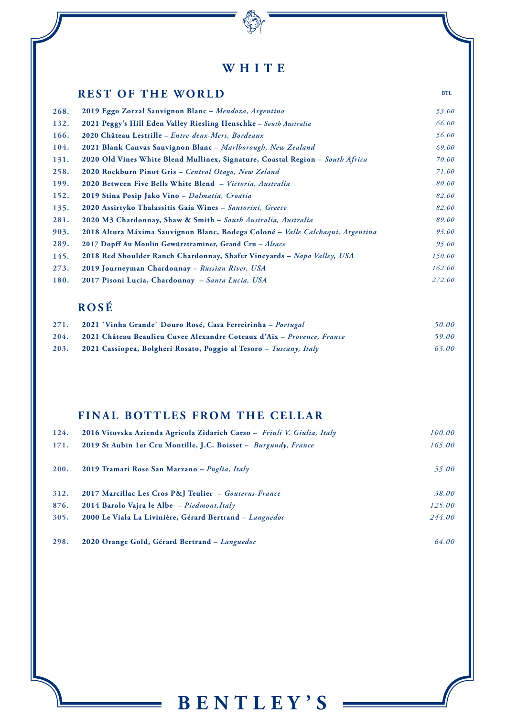#### WHITE

|      | <b>REST OF THE WORLD</b>                                                       | <b>BTL</b> |
|------|--------------------------------------------------------------------------------|------------|
| 268. | 2019 Eggo Zorzal Sauvignon Blanc - Mendoza, Argentina                          | 53.00      |
| 132. | 2021 Peggy's Hill Eden Valley Riesling Henschke - South Australia              | 66.00      |
| 166. | 2020 Château Lestrille - Entre-deux-Mers, Bordeaux                             | 56.00      |
| 104. | 2021 Blank Canvas Sauvignon Blanc - Marlborough, New Zealand                   | 69.00      |
| 131. | 2020 Old Vines White Blend Mullinex, Signature, Coastal Region - South Africa  | 70.00      |
| 258. | 2020 Rockburn Pinot Gris - Central Otago, New Zeland                           | 71.00      |
| 199. | 2020 Between Five Bells White Blend - Victoria, Australia                      | 80.00      |
| 152. | 2019 Stina Posip Jako Vino - Dalmatia, Croatia                                 | 82.00      |
| 135. | 2020 Assirtyko Thalassitis Gaia Wines - Santorini, Greece                      | 82.00      |
| 281. | 2020 M3 Chardonnay, Shaw & Smith - South Australia, Australia                  | 89.00      |
| 903. | 2018 Altura Máxima Sauvignon Blanc, Bodega Coloné - Valle Calchaqui, Argentina | 93.00      |
| 289. | 2017 Dopff Au Moulin Gewürztraminer, Grand Cru - Alsace                        | 95.00      |
| 145. | 2018 Red Shoulder Ranch Chardonnay, Shafer Vineyards - Napa Valley, USA        | 150.00     |
| 273. | 2019 Journeyman Chardonnay - Russian River, USA                                | 162.00     |
| 180. | 2017 Pisoni Lucia, Chardonnay - Santa Lucia, USA                               | 272.00     |
|      |                                                                                |            |

### **ROSÉ**

| 271. | 2021 'Vinha Grande' Douro Rosé, Casa Ferreirinha – Portugal            | 50.00 |
|------|------------------------------------------------------------------------|-------|
| 204. | 2021 Château Beaulieu Cuvee Alexandre Coteaux d'Aix – Provence, France | 59.00 |
| 203. | 2021 Cassiopea, Bolgheri Rosato, Poggio al Tesoro – Tuscany, Italy     | 63.00 |

#### **FINAL BOTTLES FROM THE CELLAR**

| 124.        | 2016 Vitovska Azienda Agricola Zidarich Carso - Friuli V. Giulia, Italy | 100.00 |
|-------------|-------------------------------------------------------------------------|--------|
| 171.        | 2019 St Aubin 1er Cru Montille, J.C. Boisset - Burgundy, France         | 165.00 |
| <b>200.</b> | 2019 Tramari Rose San Marzano – Puglia, Italy                           | 55.00  |
| 312.        | 2017 Marcillac Les Cros P&J Teulier - Gouterns-France                   | 38.00  |
| 876.        | 2014 Barolo Vajra le Albe – Piedmont, Italy                             | 125.00 |
| <b>305.</b> | 2000 Le Viala La Livinière, Gérard Bertrand - Languedoc                 | 244.00 |
| 298.        | 2020 Orange Gold, Gérard Bertrand - Languedoc                           | 64.00  |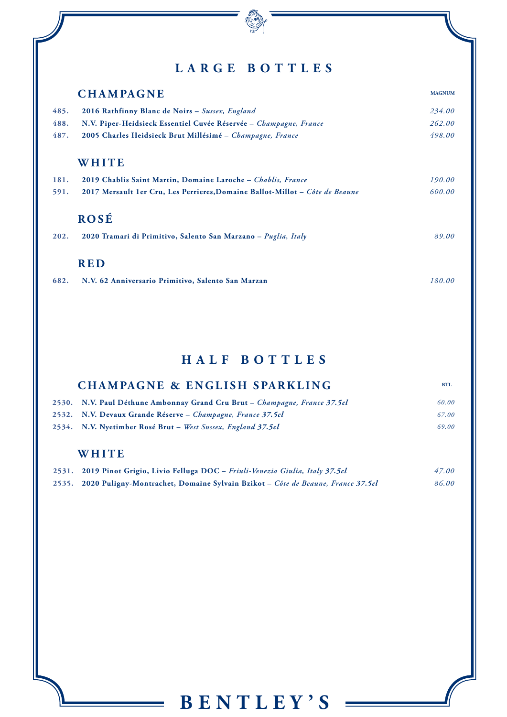#### LARGE BOTTLES

|      | <b>CHAMPAGNE</b>                                                             | <b>MAGNUM</b> |
|------|------------------------------------------------------------------------------|---------------|
| 485. | 2016 Rathfinny Blanc de Noirs - Sussex, England                              | 234.00        |
| 488. | N.V. Piper-Heidsieck Essentiel Cuvée Réservée - Champagne, France            | 262.00        |
| 487. | 2005 Charles Heidsieck Brut Millésimé - Champagne, France                    | 498.00        |
|      | WHITE                                                                        |               |
| 181. | 2019 Chablis Saint Martin, Domaine Laroche - Chablis, France                 | 190.00        |
| 591. | 2017 Mersault 1er Cru, Les Perrieres, Domaine Ballot-Millot - Côte de Beaune | 600.00        |
|      | <b>ROSÉ</b>                                                                  |               |
| 202. | 2020 Tramari di Primitivo, Salento San Marzano - Puglia, Italy               | 89.00         |
|      | <b>RED</b>                                                                   |               |
| 682. | N.V. 62 Anniversario Primitivo, Salento San Marzan                           | 180.00        |

#### **HALF BOTTLES**

| <b>CHAMPAGNE &amp; ENGLISH SPARKLING</b>                                   | <b>BTL</b> |
|----------------------------------------------------------------------------|------------|
| 2530. N.V. Paul Déthune Ambonnay Grand Cru Brut – Champagne, France 37.5cl | 60.00      |
| 2532. N.V. Devaux Grande Réserve - Champagne, France 37.5cl                | 67.00      |
| 2534. N.V. Nyetimber Rosé Brut - West Sussex, England 37.5cl               | 69.00      |
| WHITE                                                                      |            |

| 2531. 2019 Pinot Grigio, Livio Felluga DOC - Friuli-Venezia Giulia, Italy 37.5cl      | 47.00 |
|---------------------------------------------------------------------------------------|-------|
| 2535. 2020 Puligny-Montrachet, Domaine Sylvain Bzikot – Côte de Beaune, France 37.5cl | 86.00 |

## **BENTLEY'S**

÷,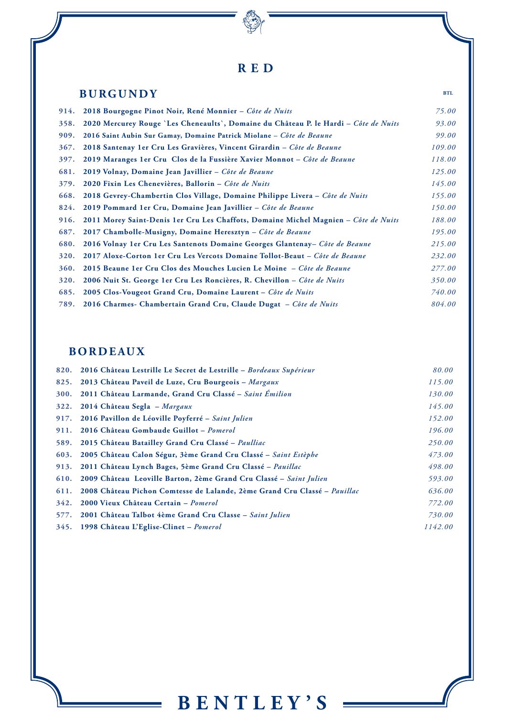## Bentley's Wines **RED**

|             | <b>BURGUNDY</b>                                                                      | <b>BTL</b> |
|-------------|--------------------------------------------------------------------------------------|------------|
| 914.        | 2018 Bourgogne Pinot Noir, René Monnier – Côte de Nuits                              | 75.00      |
| 358.        | 2020 Mercurey Rouge `Les Cheneaults`, Domaine du Château P. le Hardi – Côte de Nuits | 93.00      |
| 909.        | 2016 Saint Aubin Sur Gamay, Domaine Patrick Miolane – Côte de Beaune                 | 99.00      |
| 367.        | 2018 Santenay 1er Cru Les Gravières, Vincent Girardin - Côte de Beaune               | 109.00     |
| 397.        | 2019 Maranges 1er Cru Clos de la Fussière Xavier Monnot - Côte de Beaune             | 118.00     |
| 681.        | 2019 Volnay, Domaine Jean Javillier – Côte de Beaune                                 | 125.00     |
| 379.        | 2020 Fixin Les Chenevières, Ballorin – Côte de Nuits                                 | 145.00     |
| 668.        | 2018 Gevrey-Chambertin Clos Village, Domaine Philippe Livera - Côte de Nuits         | 155.00     |
| 824.        | 2019 Pommard 1er Cru, Domaine Jean Javillier - Côte de Beaune                        | 150.00     |
| 916.        | 2011 Morey Saint-Denis 1er Cru Les Chaffots, Domaine Michel Magnien - Côte de Nuits  | 188.00     |
| 687.        | 2017 Chambolle-Musigny, Domaine Heresztyn - Côte de Beaune                           | 195.00     |
| 680.        | 2016 Volnay 1er Cru Les Santenots Domaine Georges Glantenay– Côte de Beaune          | 215.00     |
| 320.        | 2017 Aloxe-Corton 1er Cru Les Vercots Domaine Tollot-Beaut - Côte de Beaune          | 232.00     |
| <b>360.</b> | 2015 Beaune 1er Cru Clos des Mouches Lucien Le Moine - Côte de Beaune                | 277.00     |
| 320.        | 2006 Nuit St. George 1er Cru Les Roncières, R. Chevillon - Côte de Nuits             | 350.00     |
| 685.        | 2005 Clos-Vougeot Grand Cru, Domaine Laurent - Côte de Nuits                         | 740.00     |
| 789.        | 2016 Charmes- Chambertain Grand Cru, Claude Dugat - Côte de Nuits                    | 804.00     |
|             |                                                                                      |            |

#### **BORDEAUX**

| 820.        | 2016 Château Lestrille Le Secret de Lestrille – Bordeaux Supérieur        | 80.00   |
|-------------|---------------------------------------------------------------------------|---------|
| 825.        | 2013 Château Paveil de Luze, Cru Bourgeois - Margaux                      | 115.00  |
| <b>300.</b> | 2011 Château Larmande, Grand Cru Classé - Saint Émilion                   | 130.00  |
| 322.        | 2014 Château Segla - Margaux                                              | 145.00  |
| 917.        | 2016 Pavillon de Léoville Poyferré - Saint Julien                         | 152.00  |
| 911.        | 2016 Château Gombaude Guillot - Pomerol                                   | 196.00  |
| 589.        | 2015 Château Batailley Grand Cru Classé - Paulliac                        | 250.00  |
| 603.        | 2005 Château Calon Ségur, 3ème Grand Cru Classé - Saint Estèphe           | 473.00  |
| 913.        | 2011 Château Lynch Bages, 5ème Grand Cru Classé – Pauillac                | 498.00  |
| 610.        | 2009 Château Leoville Barton, 2ème Grand Cru Classé – Saint Julien        | 593.00  |
| 611.        | 2008 Château Pichon Comtesse de Lalande, 2ème Grand Cru Classé – Pauillac | 636.00  |
| 342.        | 2000 Vieux Château Certain - Pomerol                                      | 772.00  |
| 577.        | 2001 Château Talbot 4ème Grand Cru Classe - Saint Julien                  | 730.00  |
|             | 345. 1998 Château L'Eglise-Clinet – Pomerol                               | 1142.00 |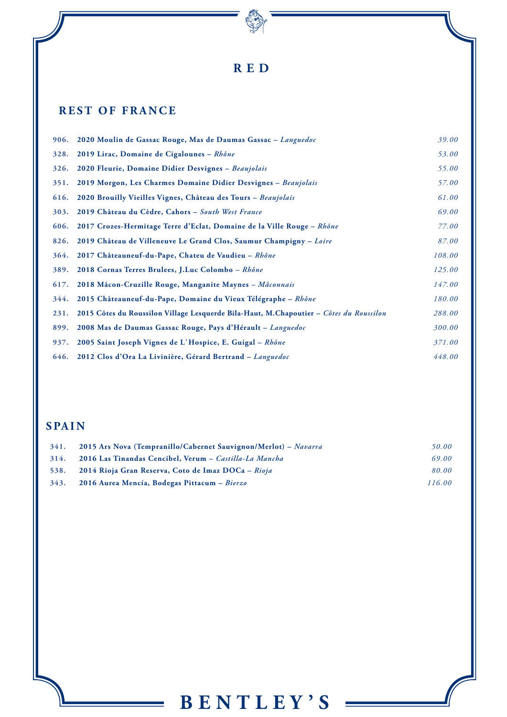## Bentley's Wines **RED**

#### **REST OF FRANCE**

| 906. | 2020 Moulin de Gassac Rouge, Mas de Daumas Gassac - Languedoc                          | 39.00  |
|------|----------------------------------------------------------------------------------------|--------|
| 328. | 2019 Lirac, Domaine de Cigalounes - Rhône                                              | 53.00  |
| 326. | 2020 Fleurie, Domaine Didier Desvignes - Beaujolais                                    | 55.00  |
| 351. | 2019 Morgon, Les Charmes Domaine Didier Desvignes - Beaujolais                         | 57.00  |
| 616. | 2020 Brouilly Vieilles Vignes, Château des Tours - Beaujolais                          | 61.00  |
| 303. | 2019 Château du Cèdre, Cahors - South West France                                      | 69.00  |
| 606. | 2017 Crozes-Hermitage Terre d'Eclat, Domaine de la Ville Rouge - Rhône                 | 77.00  |
| 826. | 2019 Château de Villeneuve Le Grand Clos, Saumur Champigny - Loire                     | 87.00  |
| 364. | 2017 Châteauneuf-du-Pape, Chateu de Vaudieu - Rhône                                    | 108.00 |
| 389. | 2018 Cornas Terres Brulees, J.Luc Colombo - Rhône                                      | 125.00 |
| 617. | 2018 Mâcon-Cruzille Rouge, Manganite Maynes - Mâconnais                                | 147.00 |
| 344. | 2015 Châteauneuf-du-Pape, Domaine du Vieux Télégraphe - Rhône                          | 180.00 |
| 231. | 2015 Côtes du Roussilon Village Lesquerde Bila-Haut, M.Chapoutier - Côtes du Roussilon | 288.00 |
| 899. | 2008 Mas de Daumas Gassac Rouge, Pays d'Hérault - Languedoc                            | 300.00 |
| 937. | 2005 Saint Joseph Vignes de L'Hospice, E. Guigal - Rhône                               | 371.00 |
| 646. | 2012 Clos d'Ora La Livinière, Gérard Bertrand - Languedoc                              | 448.00 |

#### **SPAIN**

| 341. | 2015 Ars Nova (Tempranillo/Cabernet Sauvignon/Merlot) – Navarra | 50.00  |
|------|-----------------------------------------------------------------|--------|
| 314. | 2016 Las Tinandas Cencibel, Verum - Castilla-La Mancha          | 69.00  |
| 538. | 2014 Rioja Gran Reserva, Coto de Imaz DOCa – Rioja              | 80.00  |
| 343. | 2016 Aurea Mencía, Bodegas Pittacum – Bierzo                    | 116.00 |

## **BENTLEY'S**

Ξ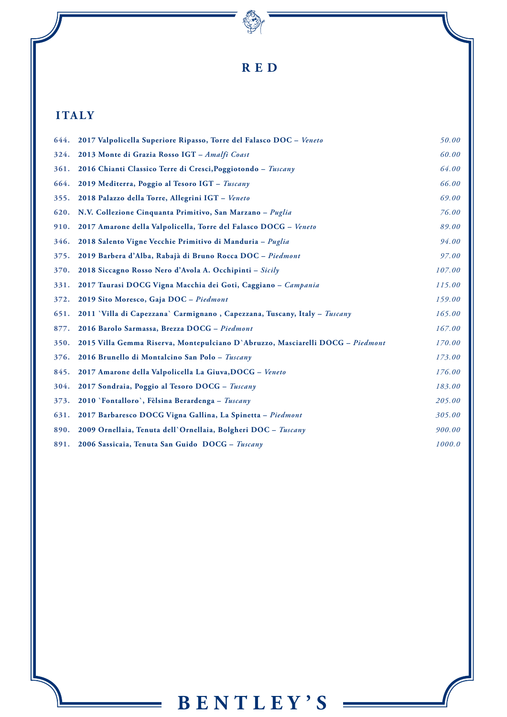## RED **RED**

#### **ITALY**

| 644. | 2017 Valpolicella Superiore Ripasso, Torre del Falasco DOC - Veneto            | 50.00  |
|------|--------------------------------------------------------------------------------|--------|
| 324. | 2013 Monte di Grazia Rosso IGT - Amalfi Coast                                  | 60.00  |
| 361. | 2016 Chianti Classico Terre di Cresci, Poggiotondo - Tuscany                   | 64.00  |
| 664. | 2019 Mediterra, Poggio al Tesoro IGT - Tuscany                                 | 66.00  |
| 355. | 2018 Palazzo della Torre, Allegrini IGT - Veneto                               | 69.00  |
| 620. | N.V. Collezione Cinquanta Primitivo, San Marzano - Puglia                      | 76.00  |
| 910. | 2017 Amarone della Valpolicella, Torre del Falasco DOCG - Veneto               | 89.00  |
| 346. | 2018 Salento Vigne Vecchie Primitivo di Manduria - Puglia                      | 94.00  |
| 375. | 2019 Barbera d'Alba, Rabajà di Bruno Rocca DOC - Piedmont                      | 97.00  |
| 370. | 2018 Siccagno Rosso Nero d'Avola A. Occhipinti – Sicily                        | 107.00 |
| 331. | 2017 Taurasi DOCG Vigna Macchia dei Goti, Caggiano - Campania                  | 115.00 |
| 372. | 2019 Sito Moresco, Gaja DOC - Piedmont                                         | 159.00 |
| 651. | 2011 'Villa di Capezzana' Carmignano, Capezzana, Tuscany, Italy - Tuscany      | 165.00 |
| 877. | 2016 Barolo Sarmassa, Brezza DOCG - Piedmont                                   | 167.00 |
| 350. | 2015 Villa Gemma Riserva, Montepulciano D'Abruzzo, Masciarelli DOCG - Piedmont | 170.00 |
| 376. | 2016 Brunello di Montalcino San Polo - Tuscany                                 | 173.00 |
| 845. | 2017 Amarone della Valpolicella La Giuva, DOCG - Veneto                        | 176.00 |
| 304. | 2017 Sondraia, Poggio al Tesoro DOCG - Tuscany                                 | 183.00 |
| 373. | 2010 'Fontalloro', Fèlsina Berardenga - Tuscany                                | 205.00 |
| 631. | 2017 Barbaresco DOCG Vigna Gallina, La Spinetta - Piedmont                     | 305.00 |
| 890. | 2009 Ornellaia, Tenuta dell'Ornellaia, Bolgheri DOC - Tuscany                  | 900.00 |
| 891. | 2006 Sassicaia, Tenuta San Guido DOCG - Tuscany                                | 1000.0 |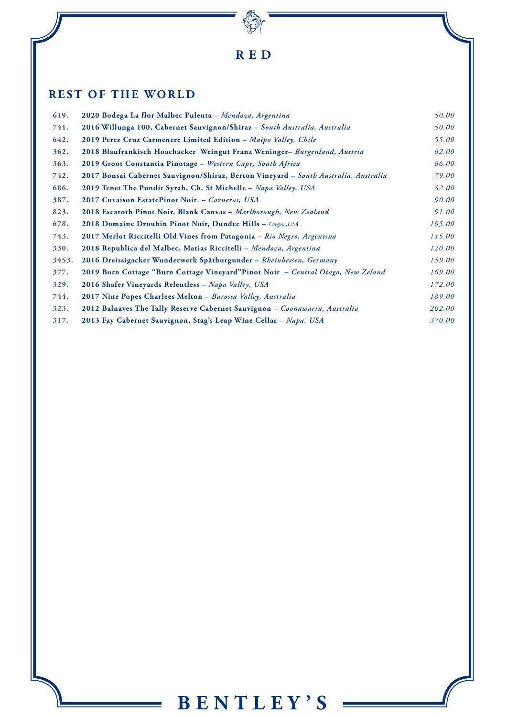RED<br>Bentley's Wines **RED**

#### **REST OF THE WORLD**

| 619.  | 2020 Bodega La flor Malbec Pulenta - Mendoza, Argentina                             | 50.00  |
|-------|-------------------------------------------------------------------------------------|--------|
| 741.  | 2016 Willunga 100, Cabernet Sauvignon/Shiraz - South Australia, Australia           | 50.00  |
| 642.  | 2019 Perez Cruz Carmenere Limited Edition - Maipo Valley, Chile                     | 55.00  |
| 362.  | 2018 Blaufrankisch Hoachacker Weingut Franz Weninger- Burgenland, Austria           | 62.00  |
| 363.  | 2019 Groot Constantia Pinotage - Western Cape, South Africa                         | 66.00  |
| 742.  | 2017 Bonsai Cabernet Sauvignon/Shiraz, Berton Vineyard - South Australia, Australia | 79.00  |
| 686.  | 2019 Tenet The Pundit Syrah, Ch. St Michelle - Napa Valley, USA                     | 82.00  |
| 387.  | 2017 Cuvaison EstatePinot Noir - Carneros, USA                                      | 90.00  |
| 823.  | 2018 Escaroth Pinot Noir, Blank Canvas - Marlborough, New Zealand                   | 91.00  |
| 678.  | 2018 Domaine Drouhin Pinot Noir, Dundee Hills - Oregon, USA                         | 105.00 |
| 743.  | 2017 Merlot Riccitelli Old Vines from Patagonia - Rio Negro, Argentina              | 115.00 |
| 330.  | 2018 Republica del Malbec, Matias Riccitelli - Mendoza, Argentina                   | 120.00 |
| 3453. | 2016 Dreissigacker Wunderwerk Spätburgunder - Rheinhessen, Germany                  | 159.00 |
| 377.  | 2019 Burn Cottage "Burn Cottage Vineyard"Pinot Noir - Central Otago, New Zeland     | 169.00 |
| 329.  | 2016 Shafer Vineyards Relentless - Napa Valley, USA                                 | 172.00 |
| 744.  | 2017 Nine Popes Charlees Melton - Barossa Valley, Australia                         | 189.00 |
| 323.  | 2012 Balnaves The Tally Reserve Cabernet Sauvignon - Coonawarra, Australia          | 202.00 |
| 317.  | 2013 Fay Cabernet Sauvignon, Stag's Leap Wine Cellar - Napa, USA                    | 370.00 |